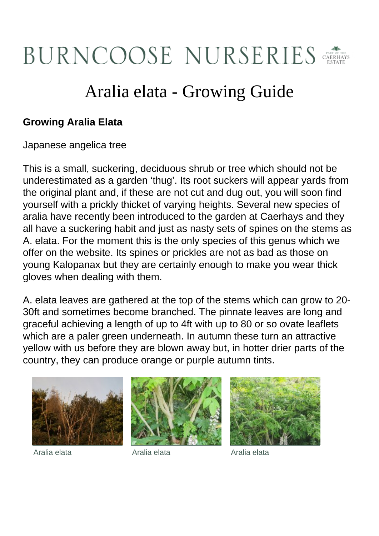## BURNCOOSE NURSERIES

## Aralia elata - Growing Guide

## **Growing Aralia Elata**

Japanese angelica tree

This is a small, suckering, deciduous shrub or tree which should not be underestimated as a garden 'thug'. Its root suckers will appear yards from the original plant and, if these are not cut and dug out, you will soon find yourself with a prickly thicket of varying heights. Several new species of aralia have recently been introduced to the garden at Caerhays and they all have a suckering habit and just as nasty sets of spines on the stems as A. elata. For the moment this is the only species of this genus which we offer on the website. Its spines or prickles are not as bad as those on young Kalopanax but they are certainly enough to make you wear thick gloves when dealing with them.

A. elata leaves are gathered at the top of the stems which can grow to 20- 30ft and sometimes become branched. The pinnate leaves are long and graceful achieving a length of up to 4ft with up to 80 or so ovate leaflets which are a paler green underneath. In autumn these turn an attractive yellow with us before they are blown away but, in hotter drier parts of the country, they can produce orange or purple autumn tints.







Aralia elata Aralia elata Aralia elata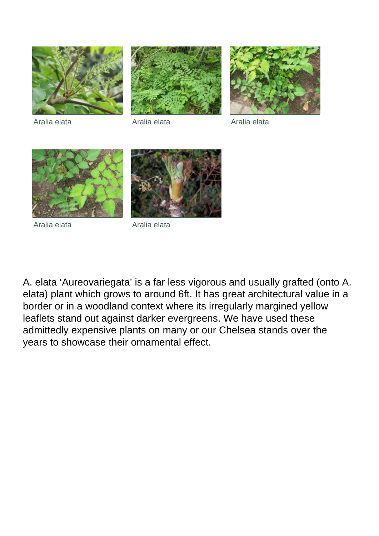





Aralia elata Aralia elata Aralia elata



Aralia elata **Aralia elata** 



A. elata 'Aureovariegata' is a far less vigorous and usually grafted (onto A. elata) plant which grows to around 6ft. It has great architectural value in a border or in a woodland context where its irregularly margined yellow leaflets stand out against darker evergreens. We have used these admittedly expensive plants on many or our Chelsea stands over the years to showcase their ornamental effect.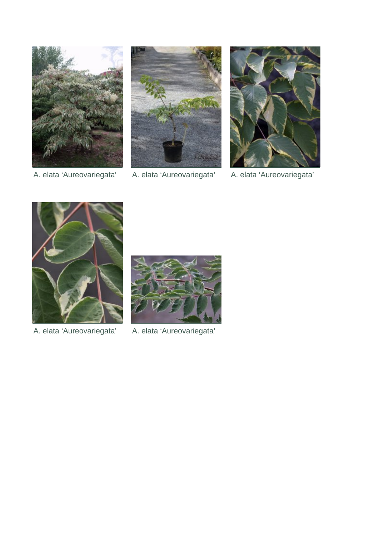





A. elata 'Aureovariegata' A. elata 'Aureovariegata' A. elata 'Aureovariegata'





A. elata 'Aureovariegata' A. elata 'Aureovariegata'